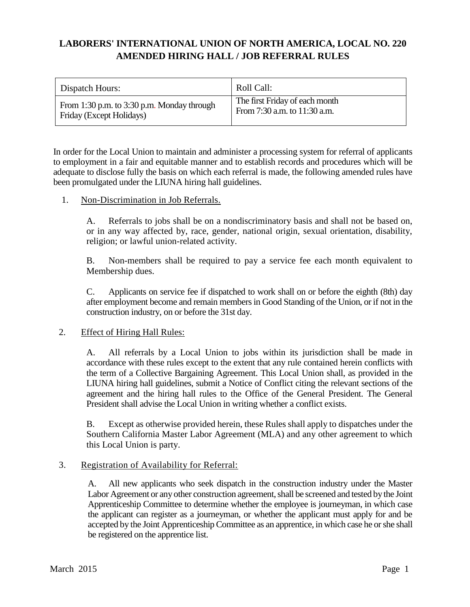# **LABORERS' INTERNATIONAL UNION OF NORTH AMERICA, LOCAL NO. 220 AMENDED HIRING HALL / JOB REFERRAL RULES**

| Dispatch Hours:                            | Roll Call:                     |
|--------------------------------------------|--------------------------------|
| From 1:30 p.m. to 3:30 p.m. Monday through | The first Friday of each month |
| Friday (Except Holidays)                   | From 7:30 a.m. to 11:30 a.m.   |

In order for the Local Union to maintain and administer a processing system for referral of applicants to employment in a fair and equitable manner and to establish records and procedures which will be adequate to disclose fully the basis on which each referral is made, the following amended rules have been promulgated under the LIUNA hiring hall guidelines.

### 1. Non-Discrimination in Job Referrals.

A. Referrals to jobs shall be on a nondiscriminatory basis and shall not be based on, or in any way affected by, race, gender, national origin, sexual orientation, disability, religion; or lawful union-related activity.

B. Non-members shall be required to pay a service fee each month equivalent to Membership dues.

C. Applicants on service fee if dispatched to work shall on or before the eighth (8th) day after employment become and remain members in Good Standing of the Union, or if not in the construction industry, on or before the 31st day.

# 2. Effect of Hiring Hall Rules:

A. All referrals by a Local Union to jobs within its jurisdiction shall be made in accordance with these rules except to the extent that any rule contained herein conflicts with the term of a Collective Bargaining Agreement. This Local Union shall, as provided in the LIUNA hiring hall guidelines, submit a Notice of Conflict citing the relevant sections of the agreement and the hiring hall rules to the Office of the General President. The General President shall advise the Local Union in writing whether a conflict exists.

B. Except as otherwise provided herein, these Rules shall apply to dispatches under the Southern California Master Labor Agreement (MLA) and any other agreement to which this Local Union is party.

# 3. Registration of Availability for Referral:

A. All new applicants who seek dispatch in the construction industry under the Master Labor Agreement or any other construction agreement, shall be screened and tested by the Joint Apprenticeship Committee to determine whether the employee is journeyman, in which case the applicant can register as a journeyman, or whether the applicant must apply for and be accepted by the Joint Apprenticeship Committee as an apprentice, in which case he or she shall be registered on the apprentice list.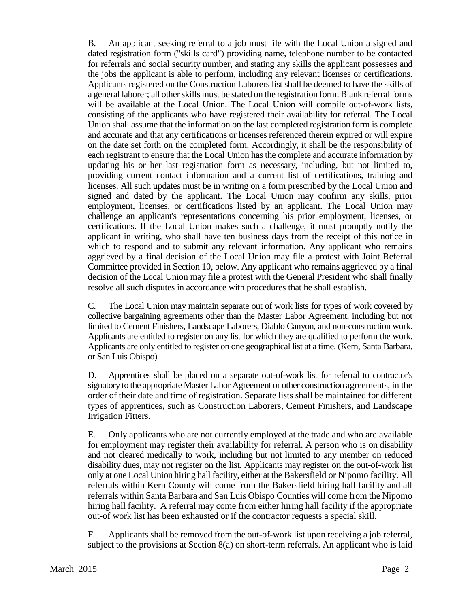B. An applicant seeking referral to a job must file with the Local Union a signed and dated registration form ("skills card") providing name, telephone number to be contacted for referrals and social security number, and stating any skills the applicant possesses and the jobs the applicant is able to perform, including any relevant licenses or certifications. Applicants registered on the Construction Laborers list shall be deemed to have the skills of a general laborer; all other skills must be stated on the registration form. Blank referral forms will be available at the Local Union. The Local Union will compile out-of-work lists, consisting of the applicants who have registered their availability for referral. The Local Union shall assume that the information on the last completed registration form is complete and accurate and that any certifications or licenses referenced therein expired or will expire on the date set forth on the completed form. Accordingly, it shall be the responsibility of each registrant to ensure that the Local Union has the complete and accurate information by updating his or her last registration form as necessary, including, but not limited to, providing current contact information and a current list of certifications, training and licenses. All such updates must be in writing on a form prescribed by the Local Union and signed and dated by the applicant. The Local Union may confirm any skills, prior employment, licenses, or certifications listed by an applicant. The Local Union may challenge an applicant's representations concerning his prior employment, licenses, or certifications. If the Local Union makes such a challenge, it must promptly notify the applicant in writing, who shall have ten business days from the receipt of this notice in which to respond and to submit any relevant information. Any applicant who remains aggrieved by a final decision of the Local Union may file a protest with Joint Referral Committee provided in Section 10, below. Any applicant who remains aggrieved by a final decision of the Local Union may file a protest with the General President who shall finally resolve all such disputes in accordance with procedures that he shall establish.

C. The Local Union may maintain separate out of work lists for types of work covered by collective bargaining agreements other than the Master Labor Agreement, including but not limited to Cement Finishers, Landscape Laborers, Diablo Canyon, and non-construction work. Applicants are entitled to register on any list for which they are qualified to perform the work. Applicants are only entitled to register on one geographical list at a time. (Kern, Santa Barbara, or San Luis Obispo)

D. Apprentices shall be placed on a separate out-of-work list for referral to contractor's signatory to the appropriate Master Labor Agreement or other construction agreements, in the order of their date and time of registration. Separate lists shall be maintained for different types of apprentices, such as Construction Laborers, Cement Finishers, and Landscape Irrigation Fitters.

E. Only applicants who are not currently employed at the trade and who are available for employment may register their availability for referral. A person who is on disability and not cleared medically to work, including but not limited to any member on reduced disability dues, may not register on the list. Applicants may register on the out-of-work list only at one Local Union hiring hall facility, either at the Bakersfield or Nipomo facility. All referrals within Kern County will come from the Bakersfield hiring hall facility and all referrals within Santa Barbara and San Luis Obispo Counties will come from the Nipomo hiring hall facility. A referral may come from either hiring hall facility if the appropriate out-of work list has been exhausted or if the contractor requests a special skill.

F. Applicants shall be removed from the out-of-work list upon receiving a job referral, subject to the provisions at Section 8(a) on short-term referrals. An applicant who is laid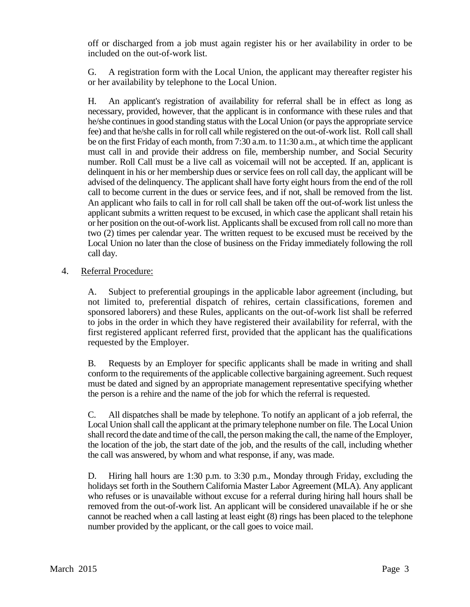off or discharged from a job must again register his or her availability in order to be included on the out-of-work list.

G. A registration form with the Local Union, the applicant may thereafter register his or her availability by telephone to the Local Union.

H. An applicant's registration of availability for referral shall be in effect as long as necessary, provided, however, that the applicant is in conformance with these rules and that he/she continues in good standing status with the Local Union (or pays the appropriate service fee) and that he/she calls in for roll call while registered on the out-of-work list. Roll call shall be on the first Friday of each month, from 7:30 a.m. to 11:30 a.m., at which time the applicant must call in and provide their address on file, membership number, and Social Security number. Roll Call must be a live call as voicemail will not be accepted. If an, applicant is delinquent in his or her membership dues or service fees on roll call day, the applicant will be advised of the delinquency. The applicant shall have forty eight hours from the end of the roll call to become current in the dues or service fees, and if not, shall be removed from the list. An applicant who fails to call in for roll call shall be taken off the out-of-work list unless the applicant submits a written request to be excused, in which case the applicant shall retain his or her position on the out-of-work list. Applicants shall be excused from roll call no more than two (2) times per calendar year. The written request to be excused must be received by the Local Union no later than the close of business on the Friday immediately following the roll call day.

# 4. Referral Procedure:

A. Subject to preferential groupings in the applicable labor agreement (including, but not limited to, preferential dispatch of rehires, certain classifications, foremen and sponsored laborers) and these Rules, applicants on the out-of-work list shall be referred to jobs in the order in which they have registered their availability for referral, with the first registered applicant referred first, provided that the applicant has the qualifications requested by the Employer.

B. Requests by an Employer for specific applicants shall be made in writing and shall conform to the requirements of the applicable collective bargaining agreement. Such request must be dated and signed by an appropriate management representative specifying whether the person is a rehire and the name of the job for which the referral is requested.

C. All dispatches shall be made by telephone. To notify an applicant of a job referral, the Local Union shall call the applicant at the primary telephone number on file. The Local Union shall record the date and time of the call, the person making the call, the name of the Employer, the location of the job, the start date of the job, and the results of the call, including whether the call was answered, by whom and what response, if any, was made.

D. Hiring hall hours are 1:30 p.m. to 3:30 p.m., Monday through Friday, excluding the holidays set forth in the Southern California Master Labor Agreement (MLA). Any applicant who refuses or is unavailable without excuse for a referral during hiring hall hours shall be removed from the out-of-work list. An applicant will be considered unavailable if he or she cannot be reached when a call lasting at least eight (8) rings has been placed to the telephone number provided by the applicant, or the call goes to voice mail.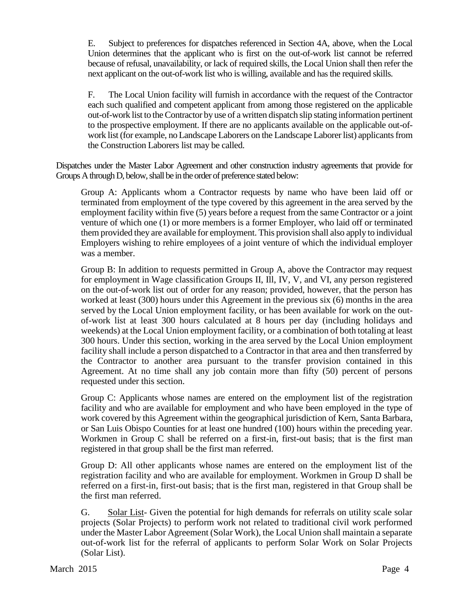E. Subject to preferences for dispatches referenced in Section 4A, above, when the Local Union determines that the applicant who is first on the out-of-work list cannot be referred because of refusal, unavailability, or lack of required skills, the Local Union shall then refer the next applicant on the out-of-work list who is willing, available and has the required skills.

F. The Local Union facility will furnish in accordance with the request of the Contractor each such qualified and competent applicant from among those registered on the applicable out-of-work list to the Contractor by use of a written dispatch slip stating information pertinent to the prospective employment. If there are no applicants available on the applicable out-ofwork list (for example, no Landscape Laborers on the Landscape Laborer list) applicants from the Construction Laborers list may be called.

Dispatches under the Master Labor Agreement and other construction industry agreements that provide for Groups A through D, below, shall be in the order of preference stated below:

Group A: Applicants whom a Contractor requests by name who have been laid off or terminated from employment of the type covered by this agreement in the area served by the employment facility within five (5) years before a request from the same Contractor or a joint venture of which one (1) or more members is a former Employer, who laid off or terminated them provided they are available for employment. This provision shall also apply to individual Employers wishing to rehire employees of a joint venture of which the individual employer was a member.

Group B: In addition to requests permitted in Group A, above the Contractor may request for employment in Wage classification Groups II, Ill, IV, V, and VI, any person registered on the out-of-work list out of order for any reason; provided, however, that the person has worked at least (300) hours under this Agreement in the previous six (6) months in the area served by the Local Union employment facility, or has been available for work on the outof-work list at least 300 hours calculated at 8 hours per day (including holidays and weekends) at the Local Union employment facility, or a combination of both totaling at least 300 hours. Under this section, working in the area served by the Local Union employment facility shall include a person dispatched to a Contractor in that area and then transferred by the Contractor to another area pursuant to the transfer provision contained in this Agreement. At no time shall any job contain more than fifty (50) percent of persons requested under this section.

Group C: Applicants whose names are entered on the employment list of the registration facility and who are available for employment and who have been employed in the type of work covered by this Agreement within the geographical jurisdiction of Kern, Santa Barbara, or San Luis Obispo Counties for at least one hundred (100) hours within the preceding year. Workmen in Group C shall be referred on a first-in, first-out basis; that is the first man registered in that group shall be the first man referred.

Group D: All other applicants whose names are entered on the employment list of the registration facility and who are available for employment. Workmen in Group D shall be referred on a first-in, first-out basis; that is the first man, registered in that Group shall be the first man referred.

G. Solar List- Given the potential for high demands for referrals on utility scale solar projects (Solar Projects) to perform work not related to traditional civil work performed under the Master Labor Agreement (Solar Work), the Local Union shall maintain a separate out-of-work list for the referral of applicants to perform Solar Work on Solar Projects (Solar List).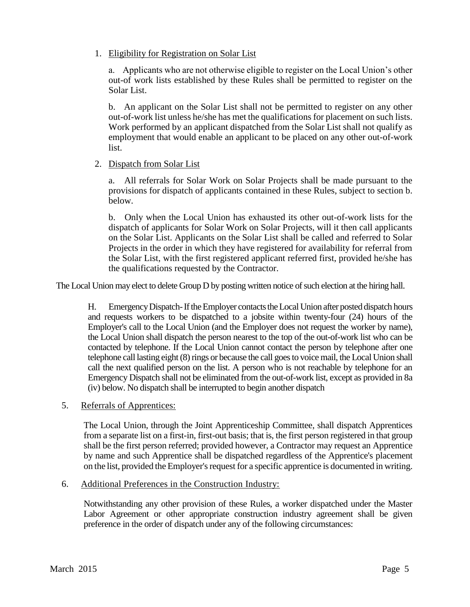1. Eligibility for Registration on Solar List

a. Applicants who are not otherwise eligible to register on the Local Union's other out-of work lists established by these Rules shall be permitted to register on the Solar List.

b. An applicant on the Solar List shall not be permitted to register on any other out-of-work list unless he/she has met the qualifications for placement on such lists. Work performed by an applicant dispatched from the Solar List shall not qualify as employment that would enable an applicant to be placed on any other out-of-work list.

### 2. Dispatch from Solar List

 a. All referrals for Solar Work on Solar Projects shall be made pursuant to the provisions for dispatch of applicants contained in these Rules, subject to section b. below.

 b. Only when the Local Union has exhausted its other out-of-work lists for the dispatch of applicants for Solar Work on Solar Projects, will it then call applicants on the Solar List. Applicants on the Solar List shall be called and referred to Solar Projects in the order in which they have registered for availability for referral from the Solar List, with the first registered applicant referred first, provided he/she has the qualifications requested by the Contractor.

The Local Union may elect to delete Group D by posting written notice of such election at the hiring hall.

H. Emergency Dispatch-If the Employer contacts the Local Union after posted dispatch hours and requests workers to be dispatched to a jobsite within twenty-four (24) hours of the Employer's call to the Local Union (and the Employer does not request the worker by name), the Local Union shall dispatch the person nearest to the top of the out-of-work list who can be contacted by telephone. If the Local Union cannot contact the person by telephone after one telephone call lasting eight  $(8)$  rings or because the call goes to voice mail, the Local Union shall call the next qualified person on the list. A person who is not reachable by telephone for an Emergency Dispatch shall not be eliminated from the out-of-work list, except as provided in 8a (iv) below. No dispatch shall be interrupted to begin another dispatch

5. Referrals of Apprentices:

The Local Union, through the Joint Apprenticeship Committee, shall dispatch Apprentices from a separate list on a first-in, first-out basis; that is, the first person registered in that group shall be the first person referred; provided however, a Contractor may request an Apprentice by name and such Apprentice shall be dispatched regardless of the Apprentice's placement on the list, provided the Employer's request for a specific apprentice is documented in writing.

#### 6. Additional Preferences in the Construction Industry:

Notwithstanding any other provision of these Rules, a worker dispatched under the Master Labor Agreement or other appropriate construction industry agreement shall be given preference in the order of dispatch under any of the following circumstances: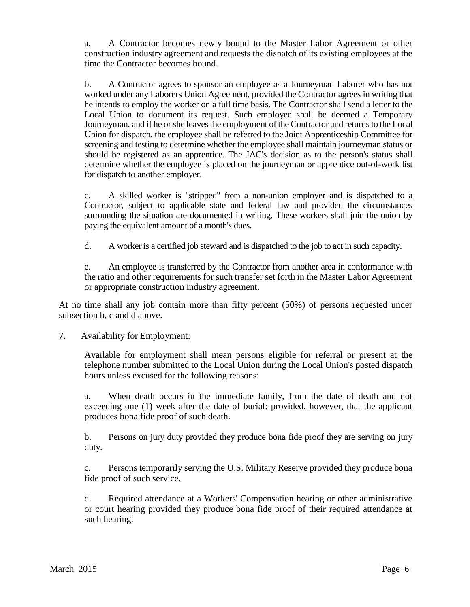a. A Contractor becomes newly bound to the Master Labor Agreement or other construction industry agreement and requests the dispatch of its existing employees at the time the Contractor becomes bound.

b. A Contractor agrees to sponsor an employee as a Journeyman Laborer who has not worked under any Laborers Union Agreement, provided the Contractor agrees in writing that he intends to employ the worker on a full time basis. The Contractor shall send a letter to the Local Union to document its request. Such employee shall be deemed a Temporary Journeyman, and if he or she leaves the employment of the Contractor and returns to the Local Union for dispatch, the employee shall be referred to the Joint Apprenticeship Committee for screening and testing to determine whether the employee shall maintain journeyman status or should be registered as an apprentice. The JAC's decision as to the person's status shall determine whether the employee is placed on the journeyman or apprentice out-of-work list for dispatch to another employer.

c. A skilled worker is "stripped" from a non-union employer and is dispatched to a Contractor, subject to applicable state and federal law and provided the circumstances surrounding the situation are documented in writing. These workers shall join the union by paying the equivalent amount of a month's dues.

d. A worker is a certified job steward and is dispatched to the job to act in such capacity.

e. An employee is transferred by the Contractor from another area in conformance with the ratio and other requirements for such transfer set forth in the Master Labor Agreement or appropriate construction industry agreement.

At no time shall any job contain more than fifty percent (50%) of persons requested under subsection b, c and d above.

# 7. Availability for Employment:

Available for employment shall mean persons eligible for referral or present at the telephone number submitted to the Local Union during the Local Union's posted dispatch hours unless excused for the following reasons:

a. When death occurs in the immediate family, from the date of death and not exceeding one (1) week after the date of burial: provided, however, that the applicant produces bona fide proof of such death.

b. Persons on jury duty provided they produce bona fide proof they are serving on jury duty.

c. Persons temporarily serving the U.S. Military Reserve provided they produce bona fide proof of such service.

d. Required attendance at a Workers' Compensation hearing or other administrative or court hearing provided they produce bona fide proof of their required attendance at such hearing.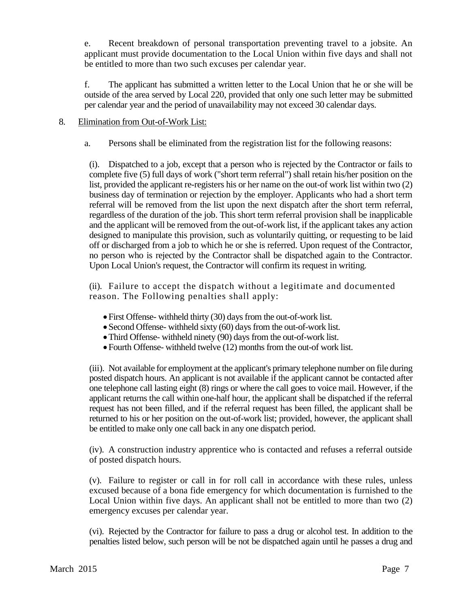e. Recent breakdown of personal transportation preventing travel to a jobsite. An applicant must provide documentation to the Local Union within five days and shall not be entitled to more than two such excuses per calendar year.

f. The applicant has submitted a written letter to the Local Union that he or she will be outside of the area served by Local 220, provided that only one such letter may be submitted per calendar year and the period of unavailability may not exceed 30 calendar days.

### 8. Elimination from Out-of-Work List:

a. Persons shall be eliminated from the registration list for the following reasons:

(i). Dispatched to a job, except that a person who is rejected by the Contractor or fails to complete five (5) full days of work ("short term referral") shall retain his/her position on the list, provided the applicant re-registers his or her name on the out-of work list within two (2) business day of termination or rejection by the employer. Applicants who had a short term referral will be removed from the list upon the next dispatch after the short term referral, regardless of the duration of the job. This short term referral provision shall be inapplicable and the applicant will be removed from the out-of-work list, if the applicant takes any action designed to manipulate this provision, such as voluntarily quitting, or requesting to be laid off or discharged from a job to which he or she is referred. Upon request of the Contractor, no person who is rejected by the Contractor shall be dispatched again to the Contractor. Upon Local Union's request, the Contractor will confirm its request in writing.

(ii). Failure to accept the dispatch without a legitimate and documented reason. The Following penalties shall apply:

- First Offense- withheld thirty (30) days from the out-of-work list.
- Second Offense- withheld sixty (60) days from the out-of-work list.
- Third Offense- withheld ninety (90) days from the out-of-work list.
- Fourth Offense- withheld twelve (12) months from the out-of work list.

(iii). Not available for employment at the applicant's primary telephone number on file during posted dispatch hours. An applicant is not available if the applicant cannot be contacted after one telephone call lasting eight (8) rings or where the call goes to voice mail. However, if the applicant returns the call within one-half hour, the applicant shall be dispatched if the referral request has not been filled, and if the referral request has been filled, the applicant shall be returned to his or her position on the out-of-work list; provided, however, the applicant shall be entitled to make only one call back in any one dispatch period.

(iv). A construction industry apprentice who is contacted and refuses a referral outside of posted dispatch hours.

(v). Failure to register or call in for roll call in accordance with these rules, unless excused because of a bona fide emergency for which documentation is furnished to the Local Union within five days. An applicant shall not be entitled to more than two (2) emergency excuses per calendar year.

(vi). Rejected by the Contractor for failure to pass a drug or alcohol test. In addition to the penalties listed below, such person will be not be dispatched again until he passes a drug and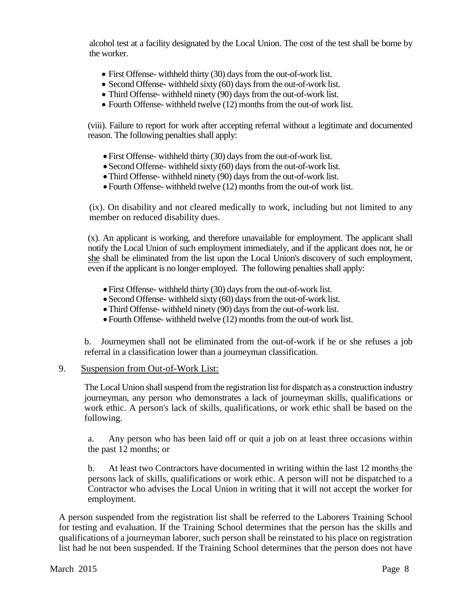alcohol test at a facility designated by the Local Union. The cost of the test shall be borne by the worker.

- First Offense- withheld thirty (30) days from the out-of-work list.
- Second Offense- withheld sixty (60) days from the out-of-work list.
- Third Offense- withheld ninety (90) days from the out-of-work list.
- Fourth Offense- withheld twelve (12) months from the out-of work list.

(viii). Failure to report for work after accepting referral without a legitimate and documented reason. The following penalties shall apply:

- First Offense- withheld thirty (30) days from the out-of-work list.
- Second Offense- withheld sixty (60) days from the out-of-work list.
- Third Offense- withheld ninety (90) days from the out-of-work list.
- Fourth Offense- withheld twelve (12) months from the out-of work list.

(ix). On disability and not cleared medically to work, including but not limited to any member on reduced disability dues.

(x). An applicant is working, and therefore unavailable for employment. The applicant shall notify the Local Union of such employment immediately, and if the applicant does not, he or she shall be eliminated from the list upon the Local Union's discovery of such employment, even if the applicant is no longer employed. The following penalties shall apply:

- First Offense- withheld thirty (30) days from the out-of-work list.
- Second Offense- withheld sixty (60) days from the out-of-work list.
- Third Offense- withheld ninety (90) days from the out-of-work list.
- Fourth Offense- withheld twelve (12) months from the out-of work list.

b. Journeymen shall not be eliminated from the out-of-work if he or she refuses a job referral in a classification lower than a journeyman classification.

#### 9. Suspension from Out-of-Work List:

The Local Union shall suspend from the registration list for dispatch as a construction industry journeyman, any person who demonstrates a lack of journeyman skills, qualifications or work ethic. A person's lack of skills, qualifications, or work ethic shall be based on the following.

a. Any person who has been laid off or quit a job on at least three occasions within the past 12 months; or

b. At least two Contractors have documented in writing within the last 12 months the persons lack of skills, qualifications or work ethic. A person will not be dispatched to a Contractor who advises the Local Union in writing that it will not accept the worker for employment.

A person suspended from the registration list shall be referred to the Laborers Training School for testing and evaluation. If the Training School determines that the person has the skills and qualifications of a journeyman laborer, such person shall be reinstated to his place on registration list had he not been suspended. If the Training School determines that the person does not have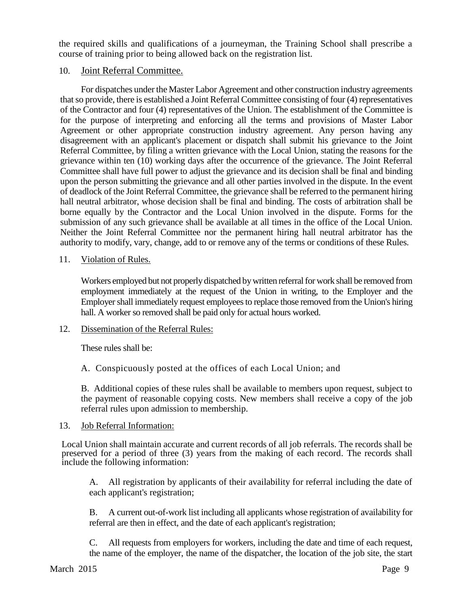the required skills and qualifications of a journeyman, the Training School shall prescribe a course of training prior to being allowed back on the registration list.

### 10. Joint Referral Committee.

For dispatches under the Master Labor Agreement and other construction industry agreements that so provide, there is established a Joint Referral Committee consisting of four (4) representatives of the Contractor and four (4) representatives of the Union. The establishment of the Committee is for the purpose of interpreting and enforcing all the terms and provisions of Master Labor Agreement or other appropriate construction industry agreement. Any person having any disagreement with an applicant's placement or dispatch shall submit his grievance to the Joint Referral Committee, by filing a written grievance with the Local Union, stating the reasons for the grievance within ten (10) working days after the occurrence of the grievance. The Joint Referral Committee shall have full power to adjust the grievance and its decision shall be final and binding upon the person submitting the grievance and all other parties involved in the dispute. In the event of deadlock of the Joint Referral Committee, the grievance shall be referred to the permanent hiring hall neutral arbitrator, whose decision shall be final and binding. The costs of arbitration shall be borne equally by the Contractor and the Local Union involved in the dispute. Forms for the submission of any such grievance shall be available at all times in the office of the Local Union. Neither the Joint Referral Committee nor the permanent hiring hall neutral arbitrator has the authority to modify, vary, change, add to or remove any of the terms or conditions of these Rules.

### 11. Violation of Rules.

Workers employed but not properly dispatched by written referral for work shall be removed from employment immediately at the request of the Union in writing, to the Employer and the Employer shall immediately request employees to replace those removed from the Union's hiring hall. A worker so removed shall be paid only for actual hours worked.

#### 12. Dissemination of the Referral Rules:

These rules shall be:

A. Conspicuously posted at the offices of each Local Union; and

B. Additional copies of these rules shall be available to members upon request, subject to the payment of reasonable copying costs. New members shall receive a copy of the job referral rules upon admission to membership.

#### 13. Job Referral Information:

Local Union shall maintain accurate and current records of all job referrals. The records shall be preserved for a period of three (3) years from the making of each record. The records shall include the following information:

A. All registration by applicants of their availability for referral including the date of each applicant's registration;

B. A current out-of-work list including all applicants whose registration of availability for referral are then in effect, and the date of each applicant's registration;

C. All requests from employers for workers, including the date and time of each request, the name of the employer, the name of the dispatcher, the location of the job site, the start